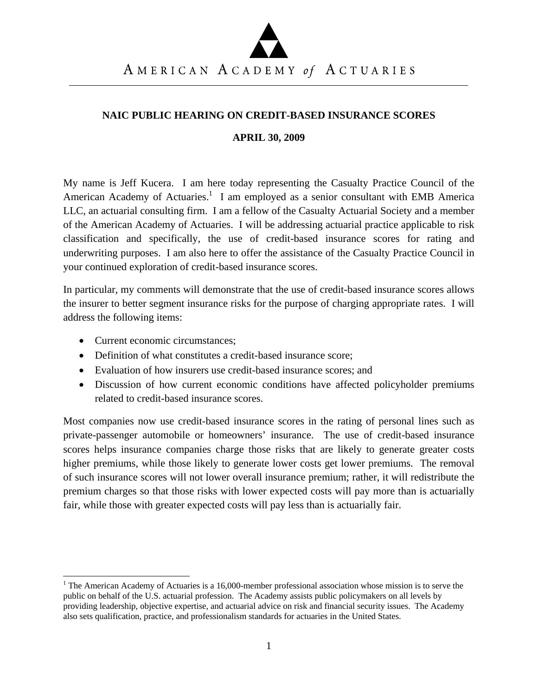### **NAIC PUBLIC HEARING ON CREDIT-BASED INSURANCE SCORES**

#### **APRIL 30, 2009**

My name is Jeff Kucera. I am here today representing the Casualty Practice Council of the American Academy of Actuaries.<sup>1</sup> I am employed as a senior consultant with EMB America LLC, an actuarial consulting firm. I am a fellow of the Casualty Actuarial Society and a member of the American Academy of Actuaries. I will be addressing actuarial practice applicable to risk classification and specifically, the use of credit-based insurance scores for rating and underwriting purposes. I am also here to offer the assistance of the Casualty Practice Council in your continued exploration of credit-based insurance scores.

In particular, my comments will demonstrate that the use of credit-based insurance scores allows the insurer to better segment insurance risks for the purpose of charging appropriate rates. I will address the following items:

• Current economic circumstances:

- Definition of what constitutes a credit-based insurance score;
- Evaluation of how insurers use credit-based insurance scores; and
- Discussion of how current economic conditions have affected policyholder premiums related to credit-based insurance scores.

Most companies now use credit-based insurance scores in the rating of personal lines such as private-passenger automobile or homeowners' insurance. The use of credit-based insurance scores helps insurance companies charge those risks that are likely to generate greater costs higher premiums, while those likely to generate lower costs get lower premiums. The removal of such insurance scores will not lower overall insurance premium; rather, it will redistribute the premium charges so that those risks with lower expected costs will pay more than is actuarially fair, while those with greater expected costs will pay less than is actuarially fair.

<sup>&</sup>lt;sup>1</sup> The American Academy of Actuaries is a 16,000-member professional association whose mission is to serve the public on behalf of the U.S. actuarial profession. The Academy assists public policymakers on all levels by providing leadership, objective expertise, and actuarial advice on risk and financial security issues. The Academy also sets qualification, practice, and professionalism standards for actuaries in the United States.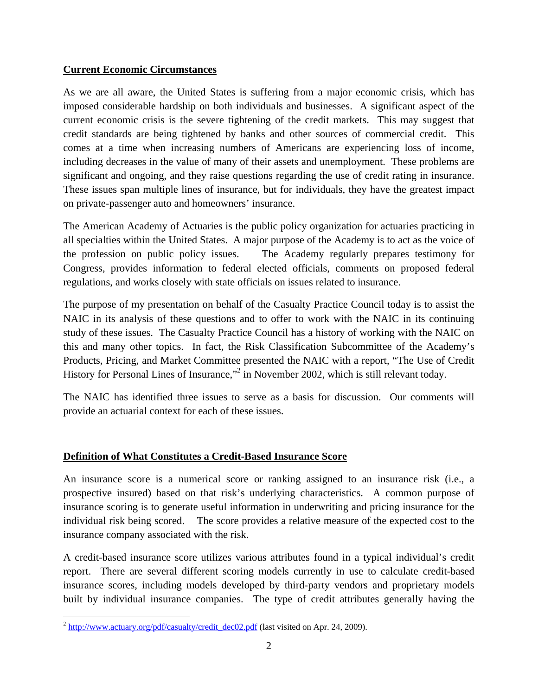## **Current Economic Circumstances**

As we are all aware, the United States is suffering from a major economic crisis, which has imposed considerable hardship on both individuals and businesses. A significant aspect of the current economic crisis is the severe tightening of the credit markets. This may suggest that credit standards are being tightened by banks and other sources of commercial credit. This comes at a time when increasing numbers of Americans are experiencing loss of income, including decreases in the value of many of their assets and unemployment. These problems are significant and ongoing, and they raise questions regarding the use of credit rating in insurance. These issues span multiple lines of insurance, but for individuals, they have the greatest impact on private-passenger auto and homeowners' insurance.

The American Academy of Actuaries is the public policy organization for actuaries practicing in all specialties within the United States. A major purpose of the Academy is to act as the voice of the profession on public policy issues. The Academy regularly prepares testimony for Congress, provides information to federal elected officials, comments on proposed federal regulations, and works closely with state officials on issues related to insurance.

The purpose of my presentation on behalf of the Casualty Practice Council today is to assist the NAIC in its analysis of these questions and to offer to work with the NAIC in its continuing study of these issues. The Casualty Practice Council has a history of working with the NAIC on this and many other topics. In fact, the Risk Classification Subcommittee of the Academy's Products, Pricing, and Market Committee presented the NAIC with a report, "The Use of Credit History for Personal Lines of Insurance,"<sup>2</sup> in November 2002, which is still relevant today.

The NAIC has identified three issues to serve as a basis for discussion. Our comments will provide an actuarial context for each of these issues.

## **Definition of What Constitutes a Credit-Based Insurance Score**

An insurance score is a numerical score or ranking assigned to an insurance risk (i.e., a prospective insured) based on that risk's underlying characteristics. A common purpose of insurance scoring is to generate useful information in underwriting and pricing insurance for the individual risk being scored. The score provides a relative measure of the expected cost to the insurance company associated with the risk.

A credit-based insurance score utilizes various attributes found in a typical individual's credit report. There are several different scoring models currently in use to calculate credit-based insurance scores, including models developed by third-party vendors and proprietary models built by individual insurance companies. The type of credit attributes generally having the

  $^2$  http://www.actuary.org/pdf/casualty/credit\_dec02.pdf (last visited on Apr. 24, 2009).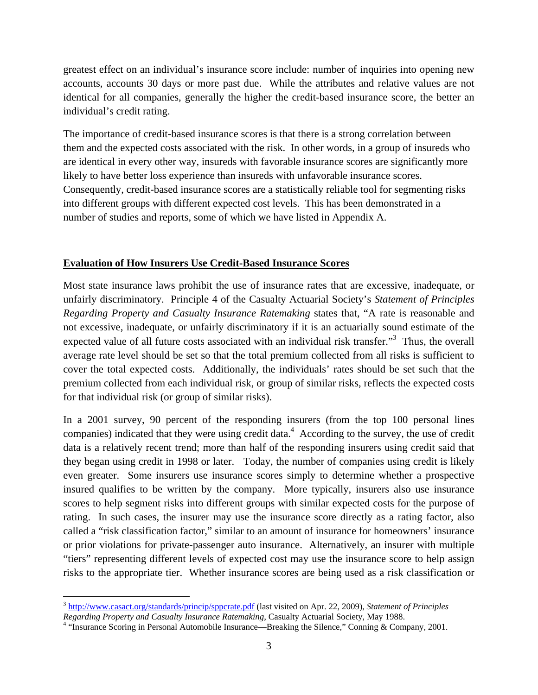greatest effect on an individual's insurance score include: number of inquiries into opening new accounts, accounts 30 days or more past due. While the attributes and relative values are not identical for all companies, generally the higher the credit-based insurance score, the better an individual's credit rating.

The importance of credit-based insurance scores is that there is a strong correlation between them and the expected costs associated with the risk. In other words, in a group of insureds who are identical in every other way, insureds with favorable insurance scores are significantly more likely to have better loss experience than insureds with unfavorable insurance scores. Consequently, credit-based insurance scores are a statistically reliable tool for segmenting risks into different groups with different expected cost levels. This has been demonstrated in a number of studies and reports, some of which we have listed in Appendix A.

### **Evaluation of How Insurers Use Credit-Based Insurance Scores**

Most state insurance laws prohibit the use of insurance rates that are excessive, inadequate, or unfairly discriminatory. Principle 4 of the Casualty Actuarial Society's *Statement of Principles Regarding Property and Casualty Insurance Ratemaking* states that, "A rate is reasonable and not excessive, inadequate, or unfairly discriminatory if it is an actuarially sound estimate of the expected value of all future costs associated with an individual risk transfer.<sup>3</sup> Thus, the overall average rate level should be set so that the total premium collected from all risks is sufficient to cover the total expected costs. Additionally, the individuals' rates should be set such that the premium collected from each individual risk, or group of similar risks, reflects the expected costs for that individual risk (or group of similar risks).

In a 2001 survey, 90 percent of the responding insurers (from the top 100 personal lines companies) indicated that they were using credit data. $4$  According to the survey, the use of credit data is a relatively recent trend; more than half of the responding insurers using credit said that they began using credit in 1998 or later. Today, the number of companies using credit is likely even greater. Some insurers use insurance scores simply to determine whether a prospective insured qualifies to be written by the company. More typically, insurers also use insurance scores to help segment risks into different groups with similar expected costs for the purpose of rating. In such cases, the insurer may use the insurance score directly as a rating factor, also called a "risk classification factor," similar to an amount of insurance for homeowners' insurance or prior violations for private-passenger auto insurance. Alternatively, an insurer with multiple "tiers" representing different levels of expected cost may use the insurance score to help assign risks to the appropriate tier. Whether insurance scores are being used as a risk classification or

<sup>3</sup> http://www.casact.org/standards/princip/sppcrate.pdf (last visited on Apr. 22, 2009), *Statement of Principles* 

Regarding Property and Casualty Insurance Ratemaking, Casualty Actuarial Society, May 1988.<br><sup>4</sup> "Insurance Scoring in Personal Automobile Insurance—Breaking the Silence," Conning & Company, 2001.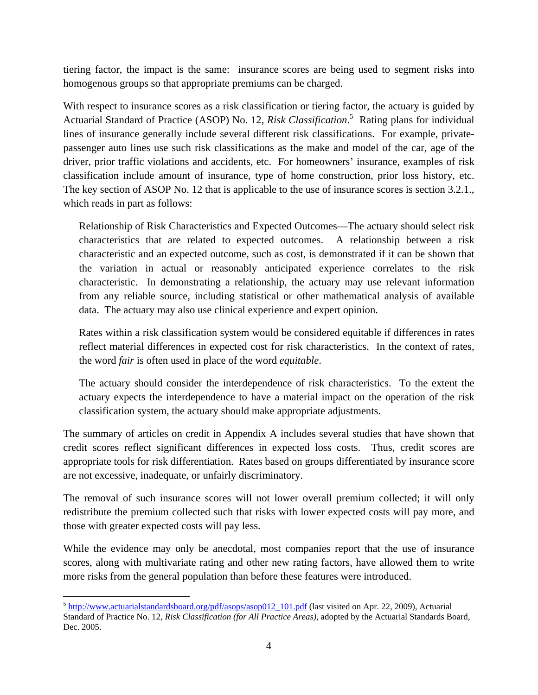tiering factor, the impact is the same: insurance scores are being used to segment risks into homogenous groups so that appropriate premiums can be charged.

With respect to insurance scores as a risk classification or tiering factor, the actuary is guided by Actuarial Standard of Practice (ASOP) No. 12, *Risk Classification*. 5 Rating plans for individual lines of insurance generally include several different risk classifications. For example, privatepassenger auto lines use such risk classifications as the make and model of the car, age of the driver, prior traffic violations and accidents, etc. For homeowners' insurance, examples of risk classification include amount of insurance, type of home construction, prior loss history, etc. The key section of ASOP No. 12 that is applicable to the use of insurance scores is section 3.2.1., which reads in part as follows:

Relationship of Risk Characteristics and Expected Outcomes—The actuary should select risk characteristics that are related to expected outcomes. A relationship between a risk characteristic and an expected outcome, such as cost, is demonstrated if it can be shown that the variation in actual or reasonably anticipated experience correlates to the risk characteristic. In demonstrating a relationship, the actuary may use relevant information from any reliable source, including statistical or other mathematical analysis of available data. The actuary may also use clinical experience and expert opinion.

Rates within a risk classification system would be considered equitable if differences in rates reflect material differences in expected cost for risk characteristics. In the context of rates, the word *fair* is often used in place of the word *equitable*.

The actuary should consider the interdependence of risk characteristics. To the extent the actuary expects the interdependence to have a material impact on the operation of the risk classification system, the actuary should make appropriate adjustments.

The summary of articles on credit in Appendix A includes several studies that have shown that credit scores reflect significant differences in expected loss costs. Thus, credit scores are appropriate tools for risk differentiation. Rates based on groups differentiated by insurance score are not excessive, inadequate, or unfairly discriminatory.

The removal of such insurance scores will not lower overall premium collected; it will only redistribute the premium collected such that risks with lower expected costs will pay more, and those with greater expected costs will pay less.

While the evidence may only be anecdotal, most companies report that the use of insurance scores, along with multivariate rating and other new rating factors, have allowed them to write more risks from the general population than before these features were introduced.

 <sup>5</sup> http://www.actuarialstandardsboard.org/pdf/asops/asop012\_101.pdf (last visited on Apr. 22, 2009), Actuarial Standard of Practice No. 12, *Risk Classification (for All Practice Areas)*, adopted by the Actuarial Standards Board, Dec. 2005.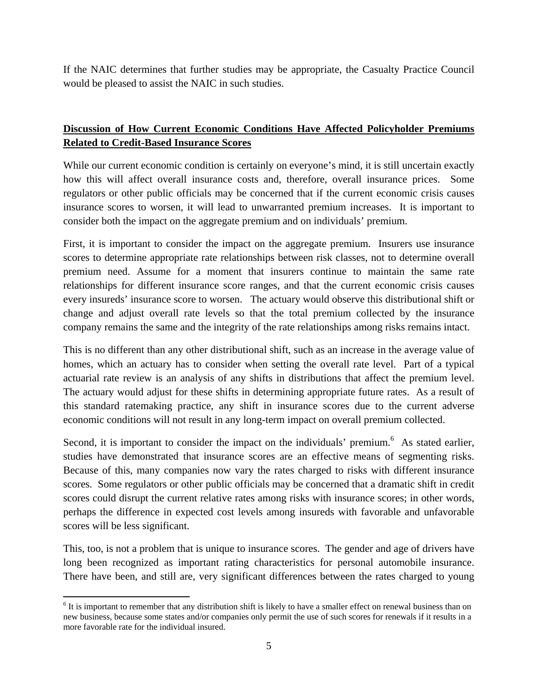If the NAIC determines that further studies may be appropriate, the Casualty Practice Council would be pleased to assist the NAIC in such studies.

# **Discussion of How Current Economic Conditions Have Affected Policyholder Premiums Related to Credit-Based Insurance Scores**

While our current economic condition is certainly on everyone's mind, it is still uncertain exactly how this will affect overall insurance costs and, therefore, overall insurance prices. Some regulators or other public officials may be concerned that if the current economic crisis causes insurance scores to worsen, it will lead to unwarranted premium increases. It is important to consider both the impact on the aggregate premium and on individuals' premium.

First, it is important to consider the impact on the aggregate premium. Insurers use insurance scores to determine appropriate rate relationships between risk classes, not to determine overall premium need. Assume for a moment that insurers continue to maintain the same rate relationships for different insurance score ranges, and that the current economic crisis causes every insureds' insurance score to worsen. The actuary would observe this distributional shift or change and adjust overall rate levels so that the total premium collected by the insurance company remains the same and the integrity of the rate relationships among risks remains intact.

This is no different than any other distributional shift, such as an increase in the average value of homes, which an actuary has to consider when setting the overall rate level. Part of a typical actuarial rate review is an analysis of any shifts in distributions that affect the premium level. The actuary would adjust for these shifts in determining appropriate future rates. As a result of this standard ratemaking practice, any shift in insurance scores due to the current adverse economic conditions will not result in any long-term impact on overall premium collected.

Second, it is important to consider the impact on the individuals' premium. $<sup>6</sup>$  As stated earlier,</sup> studies have demonstrated that insurance scores are an effective means of segmenting risks. Because of this, many companies now vary the rates charged to risks with different insurance scores. Some regulators or other public officials may be concerned that a dramatic shift in credit scores could disrupt the current relative rates among risks with insurance scores; in other words, perhaps the difference in expected cost levels among insureds with favorable and unfavorable scores will be less significant.

This, too, is not a problem that is unique to insurance scores. The gender and age of drivers have long been recognized as important rating characteristics for personal automobile insurance. There have been, and still are, very significant differences between the rates charged to young

 <sup>6</sup> It is important to remember that any distribution shift is likely to have a smaller effect on renewal business than on new business, because some states and/or companies only permit the use of such scores for renewals if it results in a more favorable rate for the individual insured.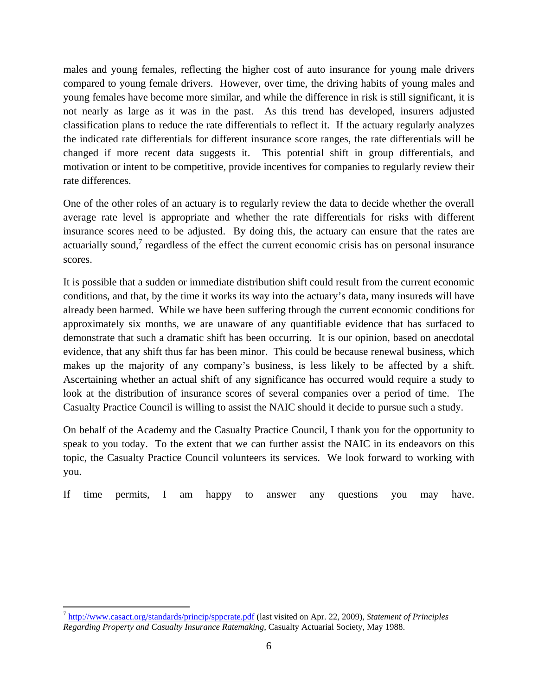males and young females, reflecting the higher cost of auto insurance for young male drivers compared to young female drivers. However, over time, the driving habits of young males and young females have become more similar, and while the difference in risk is still significant, it is not nearly as large as it was in the past. As this trend has developed, insurers adjusted classification plans to reduce the rate differentials to reflect it. If the actuary regularly analyzes the indicated rate differentials for different insurance score ranges, the rate differentials will be changed if more recent data suggests it. This potential shift in group differentials, and motivation or intent to be competitive, provide incentives for companies to regularly review their rate differences.

One of the other roles of an actuary is to regularly review the data to decide whether the overall average rate level is appropriate and whether the rate differentials for risks with different insurance scores need to be adjusted. By doing this, the actuary can ensure that the rates are actuarially sound,<sup>7</sup> regardless of the effect the current economic crisis has on personal insurance scores.

It is possible that a sudden or immediate distribution shift could result from the current economic conditions, and that, by the time it works its way into the actuary's data, many insureds will have already been harmed. While we have been suffering through the current economic conditions for approximately six months, we are unaware of any quantifiable evidence that has surfaced to demonstrate that such a dramatic shift has been occurring. It is our opinion, based on anecdotal evidence, that any shift thus far has been minor. This could be because renewal business, which makes up the majority of any company's business, is less likely to be affected by a shift. Ascertaining whether an actual shift of any significance has occurred would require a study to look at the distribution of insurance scores of several companies over a period of time. The Casualty Practice Council is willing to assist the NAIC should it decide to pursue such a study.

On behalf of the Academy and the Casualty Practice Council, I thank you for the opportunity to speak to you today. To the extent that we can further assist the NAIC in its endeavors on this topic, the Casualty Practice Council volunteers its services. We look forward to working with you.

If time permits, I am happy to answer any questions you may have.

<sup>7</sup> http://www.casact.org/standards/princip/sppcrate.pdf (last visited on Apr. 22, 2009), *Statement of Principles Regarding Property and Casualty Insurance Ratemaking*, Casualty Actuarial Society, May 1988.